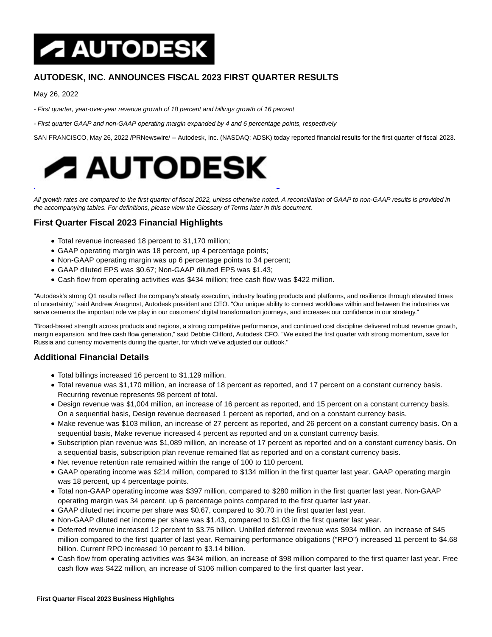# **A AUTODESK**

# **AUTODESK, INC. ANNOUNCES FISCAL 2023 FIRST QUARTER RESULTS**

May 26, 2022

- First quarter, year-over-year revenue growth of 18 percent and billings growth of 16 percent
- First quarter GAAP and non-GAAP operating margin expanded by 4 and 6 percentage points, respectively

SAN FRANCISCO, May 26, 2022 /PRNewswire/ -- Autodesk, Inc. (NASDAQ: ADSK) today reported financial results for the first quarter of fiscal 2023.



All growth rates are compared to the first quarter of fiscal 2022, unless otherwise noted. A reconciliation of GAAP to non-GAAP results is provided in the accompanying tables. For definitions, please view the Glossary of Terms later in this document.

# **First Quarter Fiscal 2023 Financial Highlights**

- Total revenue increased 18 percent to \$1,170 million;
- GAAP operating margin was 18 percent, up 4 percentage points;
- Non-GAAP operating margin was up 6 percentage points to 34 percent;
- GAAP diluted EPS was \$0.67; Non-GAAP diluted EPS was \$1.43;
- Cash flow from operating activities was \$434 million; free cash flow was \$422 million.

"Autodesk's strong Q1 results reflect the company's steady execution, industry leading products and platforms, and resilience through elevated times of uncertainty," said Andrew Anagnost, Autodesk president and CEO. "Our unique ability to connect workflows within and between the industries we serve cements the important role we play in our customers' digital transformation journeys, and increases our confidence in our strategy."

"Broad-based strength across products and regions, a strong competitive performance, and continued cost discipline delivered robust revenue growth, margin expansion, and free cash flow generation," said Debbie Clifford, Autodesk CFO. "We exited the first quarter with strong momentum, save for Russia and currency movements during the quarter, for which we've adjusted our outlook."

## **Additional Financial Details**

- Total billings increased 16 percent to \$1,129 million.
- Total revenue was \$1,170 million, an increase of 18 percent as reported, and 17 percent on a constant currency basis. Recurring revenue represents 98 percent of total.
- Design revenue was \$1,004 million, an increase of 16 percent as reported, and 15 percent on a constant currency basis. On a sequential basis, Design revenue decreased 1 percent as reported, and on a constant currency basis.
- Make revenue was \$103 million, an increase of 27 percent as reported, and 26 percent on a constant currency basis. On a sequential basis, Make revenue increased 4 percent as reported and on a constant currency basis.
- Subscription plan revenue was \$1,089 million, an increase of 17 percent as reported and on a constant currency basis. On a sequential basis, subscription plan revenue remained flat as reported and on a constant currency basis.
- Net revenue retention rate remained within the range of 100 to 110 percent.
- GAAP operating income was \$214 million, compared to \$134 million in the first quarter last year. GAAP operating margin was 18 percent, up 4 percentage points.
- Total non-GAAP operating income was \$397 million, compared to \$280 million in the first quarter last year. Non-GAAP operating margin was 34 percent, up 6 percentage points compared to the first quarter last year.
- GAAP diluted net income per share was \$0.67, compared to \$0.70 in the first quarter last year.
- Non-GAAP diluted net income per share was \$1.43, compared to \$1.03 in the first quarter last year.
- Deferred revenue increased 12 percent to \$3.75 billion. Unbilled deferred revenue was \$934 million, an increase of \$45 million compared to the first quarter of last year. Remaining performance obligations ("RPO") increased 11 percent to \$4.68 billion. Current RPO increased 10 percent to \$3.14 billion.
- Cash flow from operating activities was \$434 million, an increase of \$98 million compared to the first quarter last year. Free cash flow was \$422 million, an increase of \$106 million compared to the first quarter last year.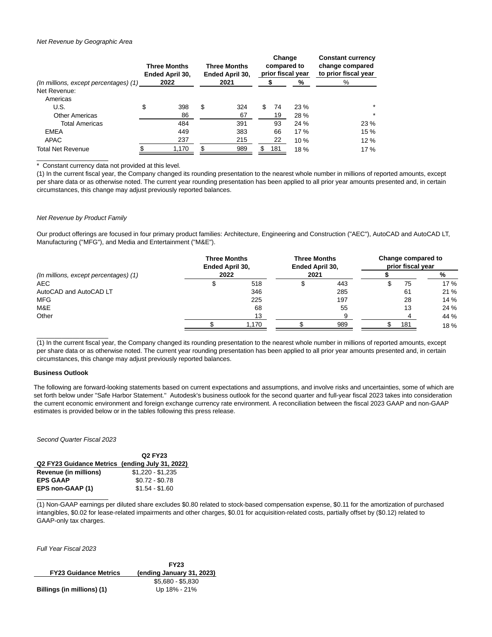#### Net Revenue by Geographic Area

|                                       | <b>Three Months</b><br>Ended April 30, |    | <b>Three Months</b><br>Ended April 30, | Change<br>compared to<br>prior fiscal year |     |      | <b>Constant currency</b><br>change compared<br>to prior fiscal year |
|---------------------------------------|----------------------------------------|----|----------------------------------------|--------------------------------------------|-----|------|---------------------------------------------------------------------|
| (In millions, except percentages) (1) | 2022                                   |    | 2021                                   |                                            |     | %    | %                                                                   |
| Net Revenue:                          |                                        |    |                                        |                                            |     |      |                                                                     |
| Americas                              |                                        |    |                                        |                                            |     |      |                                                                     |
| U.S.                                  | \$<br>398                              | \$ | 324                                    | S                                          | 74  | 23 % | $\star$                                                             |
| <b>Other Americas</b>                 | 86                                     |    | 67                                     |                                            | 19  | 28 % | $\star$                                                             |
| <b>Total Americas</b>                 | 484                                    |    | 391                                    |                                            | 93  | 24 % | 23 %                                                                |
| <b>EMEA</b>                           | 449                                    |    | 383                                    |                                            | 66  | 17 % | 15 %                                                                |
| APAC                                  | 237                                    |    | 215                                    |                                            | 22  | 10%  | 12%                                                                 |
| <b>Total Net Revenue</b>              | 1,170                                  | \$ | 989                                    | S                                          | 181 | 18%  | 17 %                                                                |

Constant currency data not provided at this level.

(1) In the current fiscal year, the Company changed its rounding presentation to the nearest whole number in millions of reported amounts, except per share data or as otherwise noted. The current year rounding presentation has been applied to all prior year amounts presented and, in certain circumstances, this change may adjust previously reported balances.

## Net Revenue by Product Family

 $\overline{\phantom{a}}$  , where  $\overline{\phantom{a}}$  , where  $\overline{\phantom{a}}$ 

Our product offerings are focused in four primary product families: Architecture, Engineering and Construction ("AEC"), AutoCAD and AutoCAD LT, Manufacturing ("MFG"), and Media and Entertainment ("M&E").

|                                       | <b>Three Months</b><br>Ended April 30, |       | <b>Three Months</b><br><b>Ended April 30,</b> |     | Change compared to<br>prior fiscal year |     |      |
|---------------------------------------|----------------------------------------|-------|-----------------------------------------------|-----|-----------------------------------------|-----|------|
| (In millions, except percentages) (1) | 2022                                   |       | 2021                                          |     |                                         |     | %    |
| <b>AEC</b>                            |                                        | 518   |                                               | 443 |                                         | 75  | 17 % |
| AutoCAD and AutoCAD LT                |                                        | 346   |                                               | 285 |                                         | 61  | 21 % |
| <b>MFG</b>                            |                                        | 225   |                                               | 197 |                                         | 28  | 14 % |
| M&E                                   |                                        | 68    |                                               | 55  |                                         | 13  | 24 % |
| Other                                 |                                        | 13    |                                               |     |                                         |     | 44 % |
|                                       |                                        | 1.170 |                                               | 989 |                                         | 181 | 18%  |

(1) In the current fiscal year, the Company changed its rounding presentation to the nearest whole number in millions of reported amounts, except per share data or as otherwise noted. The current year rounding presentation has been applied to all prior year amounts presented and, in certain circumstances, this change may adjust previously reported balances.

#### **Business Outlook**

 $\overline{\phantom{a}}$  , where  $\overline{\phantom{a}}$  , where  $\overline{\phantom{a}}$  , where  $\overline{\phantom{a}}$ 

The following are forward-looking statements based on current expectations and assumptions, and involve risks and uncertainties, some of which are set forth below under "Safe Harbor Statement." Autodesk's business outlook for the second quarter and full-year fiscal 2023 takes into consideration the current economic environment and foreign exchange currency rate environment. A reconciliation between the fiscal 2023 GAAP and non-GAAP estimates is provided below or in the tables following this press release.

#### Second Quarter Fiscal 2023

|                                                 | Q <sub>2</sub> FY <sub>23</sub> |
|-------------------------------------------------|---------------------------------|
| Q2 FY23 Guidance Metrics (ending July 31, 2022) |                                 |
| Revenue (in millions)                           | $$1.220 - $1.235$               |
| <b>EPS GAAP</b>                                 | $$0.72 - $0.78$                 |
| EPS non-GAAP (1)                                | $$1.54 - $1.60$                 |
|                                                 |                                 |

(1) Non-GAAP earnings per diluted share excludes \$0.80 related to stock-based compensation expense, \$0.11 for the amortization of purchased intangibles, \$0.02 for lease-related impairments and other charges, \$0.01 for acquisition-related costs, partially offset by (\$0.12) related to GAAP-only tax charges.

Full Year Fiscal 2023

|                              | <b>FY23</b>               |
|------------------------------|---------------------------|
| <b>FY23 Guidance Metrics</b> | (ending January 31, 2023) |
|                              | $$5.680 - $5.830$         |
| Billings (in millions) (1)   | Up 18% - 21%              |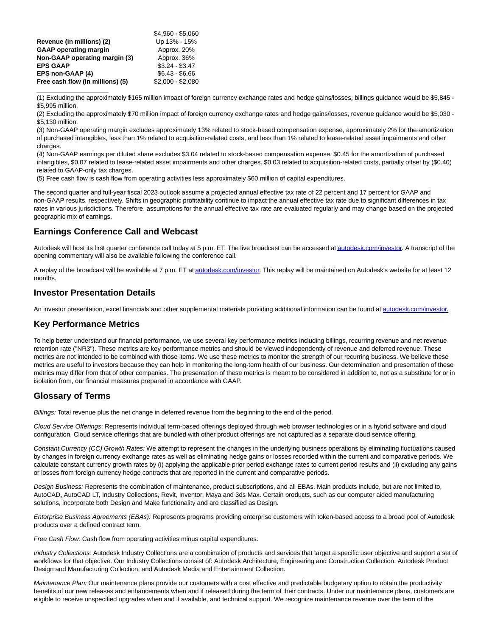|                                  | \$4.960 - \$5.060 |
|----------------------------------|-------------------|
| Revenue (in millions) (2)        | Up 13% - 15%      |
| <b>GAAP</b> operating margin     | Approx. 20%       |
| Non-GAAP operating margin (3)    | Approx. 36%       |
| <b>EPS GAAP</b>                  | $$3.24 - $3.47$   |
| EPS non-GAAP (4)                 | $$6.43 - $6.66$   |
| Free cash flow (in millions) (5) | $$2,000 - $2,080$ |

\_\_\_\_\_\_\_\_\_\_\_\_\_\_\_\_\_\_\_\_

(1) Excluding the approximately \$165 million impact of foreign currency exchange rates and hedge gains/losses, billings guidance would be \$5,845 - \$5,995 million.

(2) Excluding the approximately \$70 million impact of foreign currency exchange rates and hedge gains/losses, revenue guidance would be \$5,030 - \$5,130 million.

(3) Non-GAAP operating margin excludes approximately 13% related to stock-based compensation expense, approximately 2% for the amortization of purchased intangibles, less than 1% related to acquisition-related costs, and less than 1% related to lease-related asset impairments and other charges.

(4) Non-GAAP earnings per diluted share excludes \$3.04 related to stock-based compensation expense, \$0.45 for the amortization of purchased intangibles, \$0.07 related to lease-related asset impairments and other charges. \$0.03 related to acquisition-related costs, partially offset by (\$0.40) related to GAAP-only tax charges.

(5) Free cash flow is cash flow from operating activities less approximately \$60 million of capital expenditures.

The second quarter and full-year fiscal 2023 outlook assume a projected annual effective tax rate of 22 percent and 17 percent for GAAP and non-GAAP results, respectively. Shifts in geographic profitability continue to impact the annual effective tax rate due to significant differences in tax rates in various jurisdictions. Therefore, assumptions for the annual effective tax rate are evaluated regularly and may change based on the projected geographic mix of earnings.

## **Earnings Conference Call and Webcast**

Autodesk will host its first quarter conference call today at 5 p.m. ET. The live broadcast can be accessed a[t autodesk.com/investor.](http://autodesk.com/investor) A transcript of the opening commentary will also be available following the conference call.

A replay of the broadcast will be available at 7 p.m. ET a[t autodesk.com/investor.](http://autodesk.com/investor) This replay will be maintained on Autodesk's website for at least 12 months.

## **Investor Presentation Details**

An investor presentation, excel financials and other supplemental materials providing additional information can be found a[t autodesk.com/investor.](http://autodesk.com/investor)

## **Key Performance Metrics**

To help better understand our financial performance, we use several key performance metrics including billings, recurring revenue and net revenue retention rate ("NR3"). These metrics are key performance metrics and should be viewed independently of revenue and deferred revenue. These metrics are not intended to be combined with those items. We use these metrics to monitor the strength of our recurring business. We believe these metrics are useful to investors because they can help in monitoring the long-term health of our business. Our determination and presentation of these metrics may differ from that of other companies. The presentation of these metrics is meant to be considered in addition to, not as a substitute for or in isolation from, our financial measures prepared in accordance with GAAP.

## **Glossary of Terms**

Billings: Total revenue plus the net change in deferred revenue from the beginning to the end of the period.

Cloud Service Offerings: Represents individual term-based offerings deployed through web browser technologies or in a hybrid software and cloud configuration. Cloud service offerings that are bundled with other product offerings are not captured as a separate cloud service offering.

Constant Currency (CC) Growth Rates: We attempt to represent the changes in the underlying business operations by eliminating fluctuations caused by changes in foreign currency exchange rates as well as eliminating hedge gains or losses recorded within the current and comparative periods. We calculate constant currency growth rates by (i) applying the applicable prior period exchange rates to current period results and (ii) excluding any gains or losses from foreign currency hedge contracts that are reported in the current and comparative periods.

Design Business: Represents the combination of maintenance, product subscriptions, and all EBAs. Main products include, but are not limited to, AutoCAD, AutoCAD LT, Industry Collections, Revit, Inventor, Maya and 3ds Max. Certain products, such as our computer aided manufacturing solutions, incorporate both Design and Make functionality and are classified as Design.

Enterprise Business Agreements (EBAs): Represents programs providing enterprise customers with token-based access to a broad pool of Autodesk products over a defined contract term.

Free Cash Flow: Cash flow from operating activities minus capital expenditures.

Industry Collections: Autodesk Industry Collections are a combination of products and services that target a specific user objective and support a set of workflows for that objective. Our Industry Collections consist of: Autodesk Architecture, Engineering and Construction Collection, Autodesk Product Design and Manufacturing Collection, and Autodesk Media and Entertainment Collection.

Maintenance Plan: Our maintenance plans provide our customers with a cost effective and predictable budgetary option to obtain the productivity benefits of our new releases and enhancements when and if released during the term of their contracts. Under our maintenance plans, customers are eligible to receive unspecified upgrades when and if available, and technical support. We recognize maintenance revenue over the term of the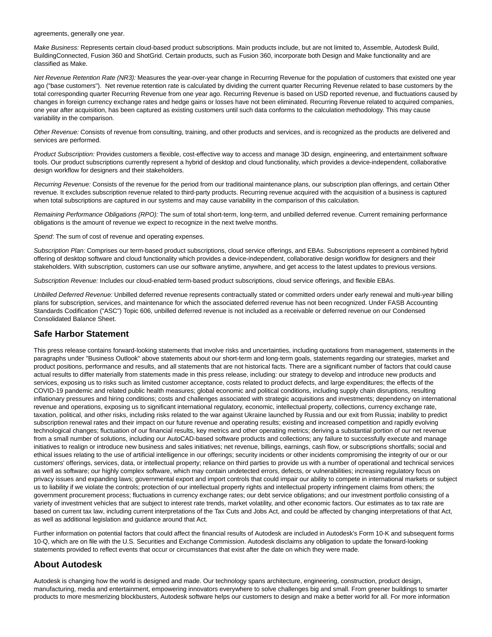agreements, generally one year.

Make Business: Represents certain cloud-based product subscriptions. Main products include, but are not limited to, Assemble, Autodesk Build, BuildingConnected, Fusion 360 and ShotGrid. Certain products, such as Fusion 360, incorporate both Design and Make functionality and are classified as Make.

Net Revenue Retention Rate (NR3): Measures the year-over-year change in Recurring Revenue for the population of customers that existed one year ago ("base customers"). Net revenue retention rate is calculated by dividing the current quarter Recurring Revenue related to base customers by the total corresponding quarter Recurring Revenue from one year ago. Recurring Revenue is based on USD reported revenue, and fluctuations caused by changes in foreign currency exchange rates and hedge gains or losses have not been eliminated. Recurring Revenue related to acquired companies, one year after acquisition, has been captured as existing customers until such data conforms to the calculation methodology. This may cause variability in the comparison.

Other Revenue: Consists of revenue from consulting, training, and other products and services, and is recognized as the products are delivered and services are performed.

Product Subscription: Provides customers a flexible, cost-effective way to access and manage 3D design, engineering, and entertainment software tools. Our product subscriptions currently represent a hybrid of desktop and cloud functionality, which provides a device-independent, collaborative design workflow for designers and their stakeholders.

Recurring Revenue: Consists of the revenue for the period from our traditional maintenance plans, our subscription plan offerings, and certain Other revenue. It excludes subscription revenue related to third-party products. Recurring revenue acquired with the acquisition of a business is captured when total subscriptions are captured in our systems and may cause variability in the comparison of this calculation.

Remaining Performance Obligations (RPO): The sum of total short-term, long-term, and unbilled deferred revenue. Current remaining performance obligations is the amount of revenue we expect to recognize in the next twelve months.

Spend: The sum of cost of revenue and operating expenses.

Subscription Plan: Comprises our term-based product subscriptions, cloud service offerings, and EBAs. Subscriptions represent a combined hybrid offering of desktop software and cloud functionality which provides a device-independent, collaborative design workflow for designers and their stakeholders. With subscription, customers can use our software anytime, anywhere, and get access to the latest updates to previous versions.

Subscription Revenue: Includes our cloud-enabled term-based product subscriptions, cloud service offerings, and flexible EBAs.

Unbilled Deferred Revenue: Unbilled deferred revenue represents contractually stated or committed orders under early renewal and multi-year billing plans for subscription, services, and maintenance for which the associated deferred revenue has not been recognized. Under FASB Accounting Standards Codification ("ASC") Topic 606, unbilled deferred revenue is not included as a receivable or deferred revenue on our Condensed Consolidated Balance Sheet.

## **Safe Harbor Statement**

This press release contains forward-looking statements that involve risks and uncertainties, including quotations from management, statements in the paragraphs under "Business Outlook" above statements about our short-term and long-term goals, statements regarding our strategies, market and product positions, performance and results, and all statements that are not historical facts. There are a significant number of factors that could cause actual results to differ materially from statements made in this press release, including: our strategy to develop and introduce new products and services, exposing us to risks such as limited customer acceptance, costs related to product defects, and large expenditures; the effects of the COVID-19 pandemic and related public health measures; global economic and political conditions, including supply chain disruptions, resulting inflationary pressures and hiring conditions; costs and challenges associated with strategic acquisitions and investments; dependency on international revenue and operations, exposing us to significant international regulatory, economic, intellectual property, collections, currency exchange rate, taxation, political, and other risks, including risks related to the war against Ukraine launched by Russia and our exit from Russia; inability to predict subscription renewal rates and their impact on our future revenue and operating results; existing and increased competition and rapidly evolving technological changes; fluctuation of our financial results, key metrics and other operating metrics; deriving a substantial portion of our net revenue from a small number of solutions, including our AutoCAD-based software products and collections; any failure to successfully execute and manage initiatives to realign or introduce new business and sales initiatives; net revenue, billings, earnings, cash flow, or subscriptions shortfalls; social and ethical issues relating to the use of artificial intelligence in our offerings; security incidents or other incidents compromising the integrity of our or our customers' offerings, services, data, or intellectual property; reliance on third parties to provide us with a number of operational and technical services as well as software; our highly complex software, which may contain undetected errors, defects, or vulnerabilities; increasing regulatory focus on privacy issues and expanding laws; governmental export and import controls that could impair our ability to compete in international markets or subject us to liability if we violate the controls; protection of our intellectual property rights and intellectual property infringement claims from others; the government procurement process; fluctuations in currency exchange rates; our debt service obligations; and our investment portfolio consisting of a variety of investment vehicles that are subject to interest rate trends, market volatility, and other economic factors. Our estimates as to tax rate are based on current tax law, including current interpretations of the Tax Cuts and Jobs Act, and could be affected by changing interpretations of that Act, as well as additional legislation and guidance around that Act.

Further information on potential factors that could affect the financial results of Autodesk are included in Autodesk's Form 10-K and subsequent forms 10-Q, which are on file with the U.S. Securities and Exchange Commission. Autodesk disclaims any obligation to update the forward-looking statements provided to reflect events that occur or circumstances that exist after the date on which they were made.

## **About Autodesk**

Autodesk is changing how the world is designed and made. Our technology spans architecture, engineering, construction, product design, manufacturing, media and entertainment, empowering innovators everywhere to solve challenges big and small. From greener buildings to smarter products to more mesmerizing blockbusters, Autodesk software helps our customers to design and make a better world for all. For more information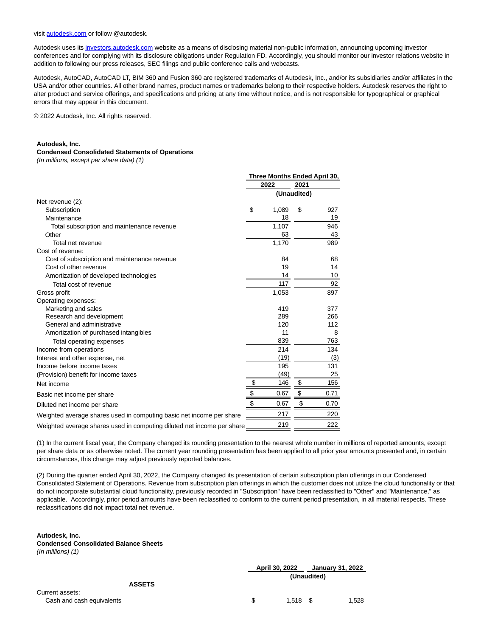visit [autodesk.com o](http://autodesk.com/)r follow @autodesk.

Autodesk uses it[s investors.autodesk.com w](http://investors.autodesk.com/)ebsite as a means of disclosing material non-public information, announcing upcoming investor conferences and for complying with its disclosure obligations under Regulation FD. Accordingly, you should monitor our investor relations website in addition to following our press releases, SEC filings and public conference calls and webcasts.

Autodesk, AutoCAD, AutoCAD LT, BIM 360 and Fusion 360 are registered trademarks of Autodesk, Inc., and/or its subsidiaries and/or affiliates in the USA and/or other countries. All other brand names, product names or trademarks belong to their respective holders. Autodesk reserves the right to alter product and service offerings, and specifications and pricing at any time without notice, and is not responsible for typographical or graphical errors that may appear in this document.

© 2022 Autodesk, Inc. All rights reserved.

#### **Autodesk, Inc.**

#### **Condensed Consolidated Statements of Operations**

(In millions, except per share data) (1)

|                                                                        | Three Months Ended April 30, |       |             |      |
|------------------------------------------------------------------------|------------------------------|-------|-------------|------|
|                                                                        |                              | 2022  | 2021        |      |
|                                                                        |                              |       | (Unaudited) |      |
| Net revenue (2):                                                       |                              |       |             |      |
| Subscription                                                           | \$                           | 1,089 | \$          | 927  |
| Maintenance                                                            |                              | 18    |             | 19   |
| Total subscription and maintenance revenue                             |                              | 1,107 |             | 946  |
| Other                                                                  |                              | 63    |             | 43   |
| Total net revenue                                                      |                              | 1,170 |             | 989  |
| Cost of revenue:                                                       |                              |       |             |      |
| Cost of subscription and maintenance revenue                           |                              | 84    |             | 68   |
| Cost of other revenue                                                  |                              | 19    |             | 14   |
| Amortization of developed technologies                                 |                              | 14    |             | 10   |
| Total cost of revenue                                                  |                              | 117   |             | 92   |
| Gross profit                                                           |                              | 1,053 |             | 897  |
| Operating expenses:                                                    |                              |       |             |      |
| Marketing and sales                                                    |                              | 419   |             | 377  |
| Research and development                                               |                              | 289   |             | 266  |
| General and administrative                                             |                              | 120   |             | 112  |
| Amortization of purchased intangibles                                  |                              | 11    |             | 8    |
| Total operating expenses                                               |                              | 839   |             | 763  |
| Income from operations                                                 |                              | 214   |             | 134  |
| Interest and other expense, net                                        |                              | (19)  |             | (3)  |
| Income before income taxes                                             |                              | 195   |             | 131  |
| (Provision) benefit for income taxes                                   |                              | (49)  |             | 25   |
| Net income                                                             | \$                           | 146   | \$          | 156  |
| Basic net income per share                                             | $\frac{1}{2}$                | 0.67  | \$          | 0.71 |
| Diluted net income per share                                           | \$                           | 0.67  | \$          | 0.70 |
| Weighted average shares used in computing basic net income per share   |                              | 217   |             | 220  |
| Weighted average shares used in computing diluted net income per share |                              | 219   |             | 222  |

(1) In the current fiscal year, the Company changed its rounding presentation to the nearest whole number in millions of reported amounts, except per share data or as otherwise noted. The current year rounding presentation has been applied to all prior year amounts presented and, in certain circumstances, this change may adjust previously reported balances.

(2) During the quarter ended April 30, 2022, the Company changed its presentation of certain subscription plan offerings in our Condensed Consolidated Statement of Operations. Revenue from subscription plan offerings in which the customer does not utilize the cloud functionality or that do not incorporate substantial cloud functionality, previously recorded in "Subscription" have been reclassified to "Other" and "Maintenance," as applicable. Accordingly, prior period amounts have been reclassified to conform to the current period presentation, in all material respects. These reclassifications did not impact total net revenue.

#### **Autodesk, Inc. Condensed Consolidated Balance Sheets** (In millions) (1)

 $\overline{\phantom{a}}$  , where  $\overline{\phantom{a}}$  , where  $\overline{\phantom{a}}$  , where  $\overline{\phantom{a}}$ 

Current

|                           | April 30, 2022 |             | January 31, 2022 |       |
|---------------------------|----------------|-------------|------------------|-------|
|                           |                | (Unaudited) |                  |       |
| <b>ASSETS</b>             |                |             |                  |       |
| Current assets:           |                |             |                  |       |
| Cash and cash equivalents | \$.            | $1.518$ \$  |                  | 1,528 |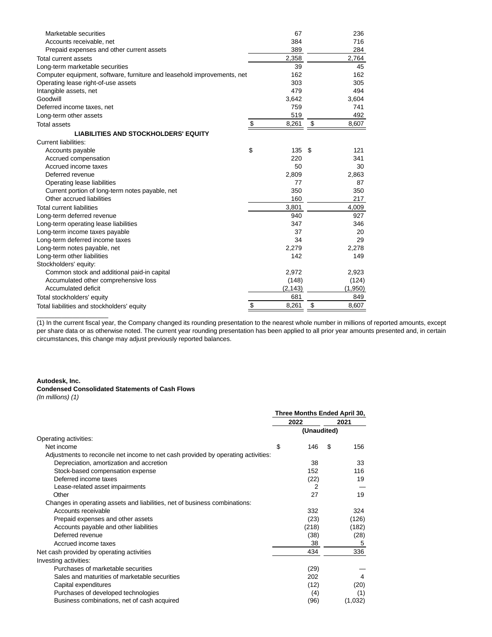| Marketable securities                                                   | 67          | 236         |
|-------------------------------------------------------------------------|-------------|-------------|
| Accounts receivable, net                                                | 384         | 716         |
| Prepaid expenses and other current assets                               | 389         | 284         |
| Total current assets                                                    | 2,358       | 2,764       |
| Long-term marketable securities                                         | 39          | 45          |
| Computer equipment, software, furniture and leasehold improvements, net | 162         | 162         |
| Operating lease right-of-use assets                                     | 303         | 305         |
| Intangible assets, net                                                  | 479         | 494         |
| Goodwill                                                                | 3,642       | 3,604       |
| Deferred income taxes, net                                              | 759         | 741         |
| Long-term other assets                                                  | 519         | 492         |
| <b>Total assets</b>                                                     | \$<br>8,261 | \$<br>8,607 |
| <b>LIABILITIES AND STOCKHOLDERS' EQUITY</b>                             |             |             |
| <b>Current liabilities:</b>                                             |             |             |
| Accounts payable                                                        | \$<br>135   | \$<br>121   |
| Accrued compensation                                                    | 220         | 341         |
| Accrued income taxes                                                    | 50          | 30          |
| Deferred revenue                                                        | 2,809       | 2,863       |
| Operating lease liabilities                                             | 77          | 87          |
| Current portion of long-term notes payable, net                         | 350         | 350         |
| Other accrued liabilities                                               | 160         | 217         |
| <b>Total current liabilities</b>                                        | 3,801       | 4,009       |
| Long-term deferred revenue                                              | 940         | 927         |
| Long-term operating lease liabilities                                   | 347         | 346         |
| Long-term income taxes payable                                          | 37          | 20          |
| Long-term deferred income taxes                                         | 34          | 29          |
| Long-term notes payable, net                                            | 2,279       | 2,278       |
| Long-term other liabilities                                             | 142         | 149         |
| Stockholders' equity:                                                   |             |             |
| Common stock and additional paid-in capital                             | 2,972       | 2,923       |
| Accumulated other comprehensive loss                                    | (148)       | (124)       |
| Accumulated deficit                                                     | (2, 143)    | (1,950)     |
| Total stockholders' equity                                              | 681         | 849         |
| Total liabilities and stockholders' equity                              | \$<br>8,261 | \$<br>8,607 |

(1) In the current fiscal year, the Company changed its rounding presentation to the nearest whole number in millions of reported amounts, except per share data or as otherwise noted. The current year rounding presentation has been applied to all prior year amounts presented and, in certain circumstances, this change may adjust previously reported balances.

## **Autodesk, Inc.**

 $\overline{\phantom{a}}$  , where  $\overline{\phantom{a}}$  , where  $\overline{\phantom{a}}$  , where  $\overline{\phantom{a}}$ 

## **Condensed Consolidated Statements of Cash Flows**

(In millions) (1)

|                                                                                   | Three Months Ended April 30, |             |    |         |
|-----------------------------------------------------------------------------------|------------------------------|-------------|----|---------|
|                                                                                   |                              | 2022        |    | 2021    |
|                                                                                   |                              | (Unaudited) |    |         |
| Operating activities:                                                             |                              |             |    |         |
| Net income                                                                        | \$                           | 146         | \$ | 156     |
| Adjustments to reconcile net income to net cash provided by operating activities: |                              |             |    |         |
| Depreciation, amortization and accretion                                          |                              | 38          |    | 33      |
| Stock-based compensation expense                                                  |                              | 152         |    | 116     |
| Deferred income taxes                                                             |                              | (22)        |    | 19      |
| Lease-related asset impairments                                                   |                              | 2           |    |         |
| Other                                                                             |                              | 27          |    | 19      |
| Changes in operating assets and liabilities, net of business combinations:        |                              |             |    |         |
| Accounts receivable                                                               |                              | 332         |    | 324     |
| Prepaid expenses and other assets                                                 |                              | (23)        |    | (126)   |
| Accounts payable and other liabilities                                            |                              | (218)       |    | (182)   |
| Deferred revenue                                                                  |                              | (38)        |    | (28)    |
| Accrued income taxes                                                              |                              | 38          |    | 5       |
| Net cash provided by operating activities                                         |                              | 434         |    | 336     |
| Investing activities:                                                             |                              |             |    |         |
| Purchases of marketable securities                                                |                              | (29)        |    |         |
| Sales and maturities of marketable securities                                     |                              | 202         |    | 4       |
| Capital expenditures                                                              |                              | (12)        |    | (20)    |
| Purchases of developed technologies                                               |                              | (4)         |    | (1)     |
| Business combinations, net of cash acquired                                       |                              | (96)        |    | (1,032) |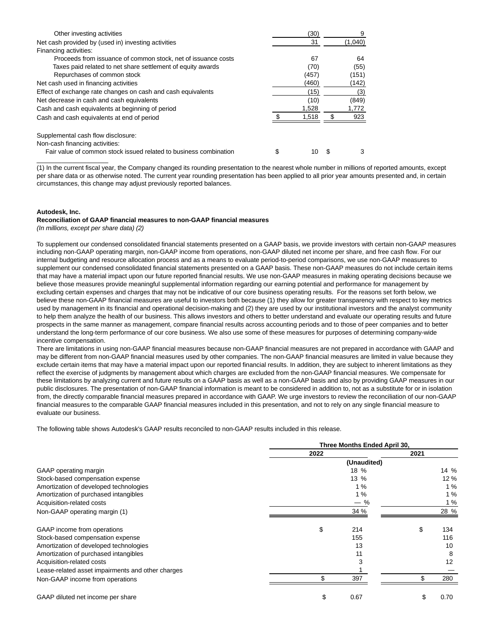| Other investing activities                                        | (30)  | 9       |
|-------------------------------------------------------------------|-------|---------|
| Net cash provided by (used in) investing activities               | 31    | (1,040) |
| Financing activities:                                             |       |         |
| Proceeds from issuance of common stock, net of issuance costs     | 67    | 64      |
| Taxes paid related to net share settlement of equity awards       | (70)  | (55)    |
| Repurchases of common stock                                       | (457) | (151)   |
| Net cash used in financing activities                             | (460) | (142)   |
| Effect of exchange rate changes on cash and cash equivalents      | (15)  | (3)     |
| Net decrease in cash and cash equivalents                         | (10)  | (849)   |
| Cash and cash equivalents at beginning of period                  | 1,528 | 1,772   |
| Cash and cash equivalents at end of period                        | 1,518 | 923     |
| Supplemental cash flow disclosure:                                |       |         |
| Non-cash financing activities:                                    |       |         |
| Fair value of common stock issued related to business combination | 10    | 3       |

(1) In the current fiscal year, the Company changed its rounding presentation to the nearest whole number in millions of reported amounts, except per share data or as otherwise noted. The current year rounding presentation has been applied to all prior year amounts presented and, in certain circumstances, this change may adjust previously reported balances.

## **Autodesk, Inc.**

 $\overline{\phantom{a}}$  , where  $\overline{\phantom{a}}$  , where  $\overline{\phantom{a}}$ 

#### **Reconciliation of GAAP financial measures to non-GAAP financial measures**

(In millions, except per share data) (2)

To supplement our condensed consolidated financial statements presented on a GAAP basis, we provide investors with certain non-GAAP measures including non-GAAP operating margin, non-GAAP income from operations, non-GAAP diluted net income per share, and free cash flow. For our internal budgeting and resource allocation process and as a means to evaluate period-to-period comparisons, we use non-GAAP measures to supplement our condensed consolidated financial statements presented on a GAAP basis. These non-GAAP measures do not include certain items that may have a material impact upon our future reported financial results. We use non-GAAP measures in making operating decisions because we believe those measures provide meaningful supplemental information regarding our earning potential and performance for management by excluding certain expenses and charges that may not be indicative of our core business operating results. For the reasons set forth below, we believe these non-GAAP financial measures are useful to investors both because (1) they allow for greater transparency with respect to key metrics used by management in its financial and operational decision-making and (2) they are used by our institutional investors and the analyst community to help them analyze the health of our business. This allows investors and others to better understand and evaluate our operating results and future prospects in the same manner as management, compare financial results across accounting periods and to those of peer companies and to better understand the long-term performance of our core business. We also use some of these measures for purposes of determining company-wide incentive compensation.

There are limitations in using non-GAAP financial measures because non-GAAP financial measures are not prepared in accordance with GAAP and may be different from non-GAAP financial measures used by other companies. The non-GAAP financial measures are limited in value because they exclude certain items that may have a material impact upon our reported financial results. In addition, they are subject to inherent limitations as they reflect the exercise of judgments by management about which charges are excluded from the non-GAAP financial measures. We compensate for these limitations by analyzing current and future results on a GAAP basis as well as a non-GAAP basis and also by providing GAAP measures in our public disclosures. The presentation of non-GAAP financial information is meant to be considered in addition to, not as a substitute for or in isolation from, the directly comparable financial measures prepared in accordance with GAAP. We urge investors to review the reconciliation of our non-GAAP financial measures to the comparable GAAP financial measures included in this presentation, and not to rely on any single financial measure to evaluate our business.

The following table shows Autodesk's GAAP results reconciled to non-GAAP results included in this release.

|                                                   | Three Months Ended April 30, |      |          |      |  |
|---------------------------------------------------|------------------------------|------|----------|------|--|
|                                                   | 2022                         |      | 2021     |      |  |
|                                                   |                              |      |          |      |  |
| GAAP operating margin                             |                              | 18 % |          | 14 % |  |
| Stock-based compensation expense                  |                              | 13 % |          | 12%  |  |
| Amortization of developed technologies            |                              | 1%   |          | 1%   |  |
| Amortization of purchased intangibles             |                              |      | 1%<br>1% |      |  |
| Acquisition-related costs                         |                              |      |          |      |  |
| Non-GAAP operating margin (1)                     |                              | 34 % |          | 28 % |  |
| GAAP income from operations                       | \$                           | 214  | \$       | 134  |  |
| Stock-based compensation expense                  |                              | 155  |          | 116  |  |
| Amortization of developed technologies            |                              | 13   |          | 10   |  |
| Amortization of purchased intangibles             |                              | 11   |          | 8    |  |
| Acquisition-related costs                         |                              |      |          | 12   |  |
| Lease-related asset impairments and other charges |                              |      |          |      |  |
| Non-GAAP income from operations                   |                              | 397  | \$       | 280  |  |
| GAAP diluted net income per share                 |                              | 0.67 |          | 0.70 |  |